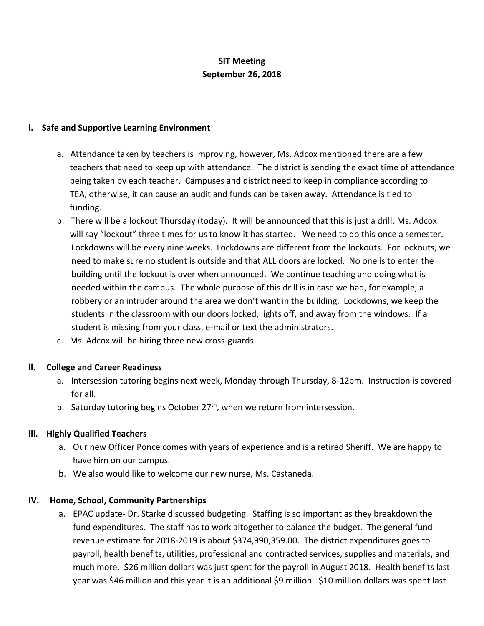# **SIT Meeting September 26, 2018**

#### **l. Safe and Supportive Learning Environment**

- a. Attendance taken by teachers is improving, however, Ms. Adcox mentioned there are a few teachers that need to keep up with attendance. The district is sending the exact time of attendance being taken by each teacher. Campuses and district need to keep in compliance according to TEA, otherwise, it can cause an audit and funds can be taken away. Attendance is tied to funding.
- b. There will be a lockout Thursday (today). It will be announced that this is just a drill. Ms. Adcox will say "lockout" three times for us to know it has started. We need to do this once a semester. Lockdowns will be every nine weeks. Lockdowns are different from the lockouts. For lockouts, we need to make sure no student is outside and that ALL doors are locked. No one is to enter the building until the lockout is over when announced. We continue teaching and doing what is needed within the campus. The whole purpose of this drill is in case we had, for example, a robbery or an intruder around the area we don't want in the building. Lockdowns, we keep the students in the classroom with our doors locked, lights off, and away from the windows. If a student is missing from your class, e-mail or text the administrators.
- c. Ms. Adcox will be hiring three new cross-guards.

## **ll. College and Career Readiness**

- a. Intersession tutoring begins next week, Monday through Thursday, 8-12pm. Instruction is covered for all.
- b. Saturday tutoring begins October  $27<sup>th</sup>$ , when we return from intersession.

## **lll. Highly Qualified Teachers**

- a. Our new Officer Ponce comes with years of experience and is a retired Sheriff. We are happy to have him on our campus.
- b. We also would like to welcome our new nurse, Ms. Castaneda.

#### **IV. Home, School, Community Partnerships**

a. EPAC update- Dr. Starke discussed budgeting. Staffing is so important as they breakdown the fund expenditures. The staff has to work altogether to balance the budget. The general fund revenue estimate for 2018-2019 is about \$374,990,359.00. The district expenditures goes to payroll, health benefits, utilities, professional and contracted services, supplies and materials, and much more. \$26 million dollars was just spent for the payroll in August 2018. Health benefits last year was \$46 million and this year it is an additional \$9 million. \$10 million dollars was spent last